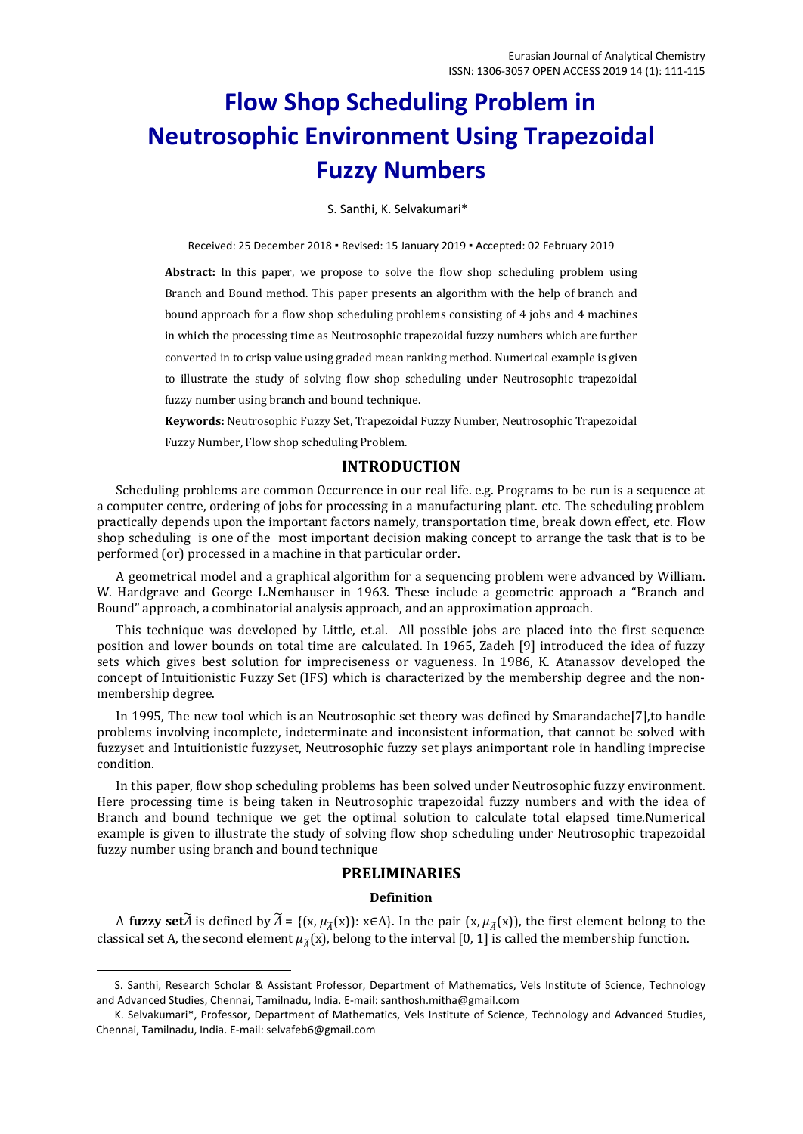# **Flow Shop Scheduling Problem in Neutrosophic Environment Using Trapezoidal Fuzzy Numbers**

S. Santhi, K. Selvakumari\*

Received: 25 December 2018 ▪ Revised: 15 January 2019 ▪ Accepted: 02 February 2019

**Abstract:** In this paper, we propose to solve the flow shop scheduling problem using Branch and Bound method. This paper presents an algorithm with the help of branch and bound approach for a flow shop scheduling problems consisting of 4 jobs and 4 machines in which the processing time as Neutrosophic trapezoidal fuzzy numbers which are further converted in to crisp value using graded mean ranking method. Numerical example is given to illustrate the study of solving flow shop scheduling under Neutrosophic trapezoidal fuzzy number using branch and bound technique.

**Keywords:** Neutrosophic Fuzzy Set, Trapezoidal Fuzzy Number, Neutrosophic Trapezoidal

Fuzzy Number, Flow shop scheduling Problem.

# **INTRODUCTION**

Scheduling problems are common Occurrence in our real life. e.g. Programs to be run is a sequence at a computer centre, ordering of jobs for processing in a manufacturing plant. etc. The scheduling problem practically depends upon the important factors namely, transportation time, break down effect, etc. Flow shop scheduling is one of the most important decision making concept to arrange the task that is to be performed (or) processed in a machine in that particular order.

A geometrical model and a graphical algorithm for a sequencing problem were advanced by William. W. Hardgrave and George L.Nemhauser in 1963. These include a geometric approach a "Branch and Bound" approach, a combinatorial analysis approach, and an approximation approach.

This technique was developed by Little, et.al. All possible jobs are placed into the first sequence position and lower bounds on total time are calculated. In 1965, Zadeh [9] introduced the idea of fuzzy sets which gives best solution for impreciseness or vagueness. In 1986, K. Atanassov developed the concept of Intuitionistic Fuzzy Set (IFS) which is characterized by the membership degree and the nonmembership degree.

In 1995, The new tool which is an Neutrosophic set theory was defined by Smarandache[7],to handle problems involving incomplete, indeterminate and inconsistent information, that cannot be solved with fuzzyset and Intuitionistic fuzzyset, Neutrosophic fuzzy set plays animportant role in handling imprecise condition.

In this paper, flow shop scheduling problems has been solved under Neutrosophic fuzzy environment. Here processing time is being taken in Neutrosophic trapezoidal fuzzy numbers and with the idea of Branch and bound technique we get the optimal solution to calculate total elapsed time.Numerical example is given to illustrate the study of solving flow shop scheduling under Neutrosophic trapezoidal fuzzy number using branch and bound technique

# **PRELIMINARIES**

## **Definition**

A **fuzzy set** $\widetilde{A}$  is defined by  $\widetilde{A} = \{(x, \mu_{\widetilde{A}}(x)) : x \in A\}$ . In the pair  $(x, \mu_{\widetilde{A}}(x))$ , the first element belong to the classical set A, the second element  $\mu_{\tilde{A}}(x)$ , belong to the interval [0, 1] is called the membership function.

**.** 

S. Santhi, Research Scholar & Assistant Professor, Department of Mathematics, Vels Institute of Science, Technology and Advanced Studies, Chennai, Tamilnadu, India. E-mail: santhosh.mitha@gmail.com

K. Selvakumari\*, Professor, Department of Mathematics, Vels Institute of Science, Technology and Advanced Studies, Chennai, Tamilnadu, India. E-mail: [selvafeb6@gmail.com](mailto:selvafeb6@gmail.com)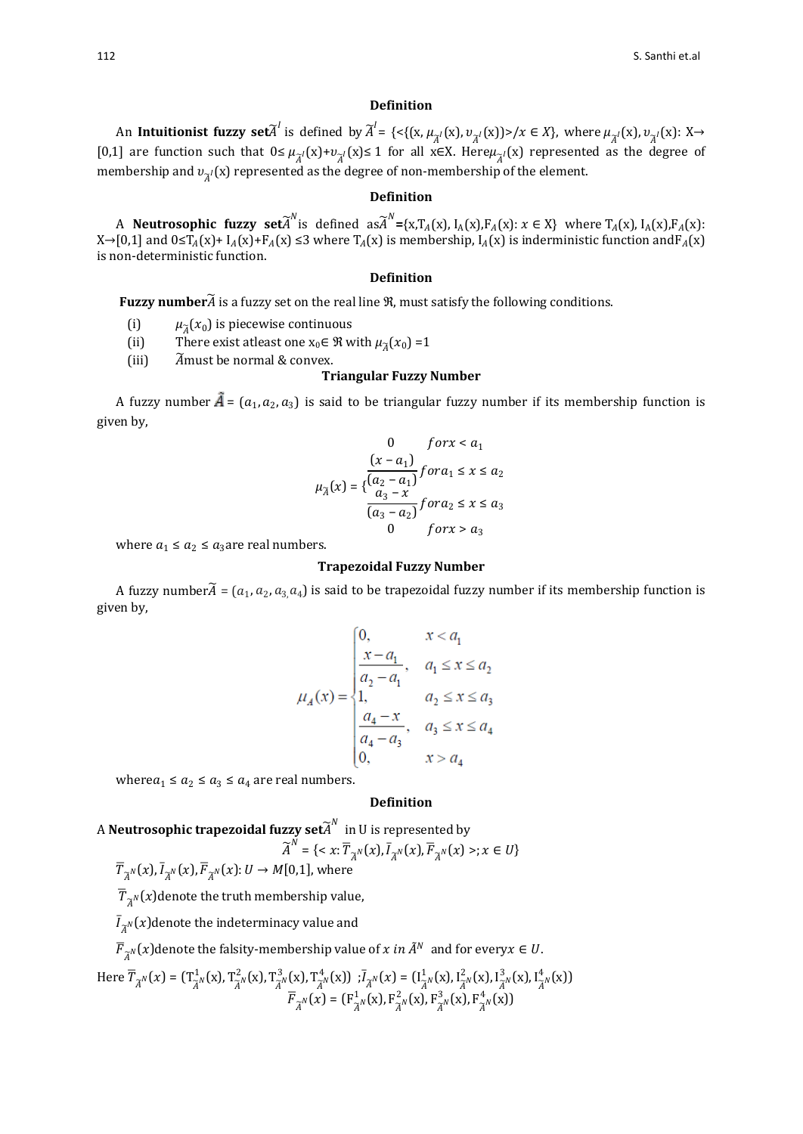#### **Definition**

An **Intuitionist fuzzy set** $\widetilde{A}^l$  is defined by  $\widetilde{A}^l = \{ \langle \{ (x, \mu_{\widetilde{A}^l}(x), \nu_{\widetilde{A}^l}(x)) \rangle / x \in X \}, \text{ where } \mu_{\widetilde{A}^l}(x), \nu_{\widetilde{A}^l}(x) \colon X \to X \}$ [0,1] are function such that  $0 \leq \mu_{\widetilde{A}}(x) + v_{\widetilde{A}}(x) \leq 1$  for all x∈X. Here $\mu_{\widetilde{A}}(x)$  represented as the degree of membership and  $v_{\widetilde{A}^I}(\mathrm{x})$  represented as the degree of non-membership of the element.

#### **Definition**

A **Neutrosophic fuzzy set** $\widetilde{A}^N$  is defined as  $\widetilde{A}^N = \{x, T_A(x), I_A(x), F_A(x): x \in X\}$  where  $T_A(x), I_A(x), F_A(x)$ :  $X\rightarrow[0,1]$  and  $0\leq T_A(X)+T_A(X)\leq 3$  where  $T_A(X)$  is membership,  $I_A(X)$  is inderministic function and  $F_A(X)$ is non-deterministic function.

#### **Definition**

**Fuzzy number**� is a fuzzy set on the real line ℜ, must satisfy the following conditions.

- (i)  $\mu_{\tilde{A}}(x_0)$  is piecewise continuous<br>(ii) There exist at east one  $x_0 \in \mathcal{R}$  w
- (ii) There exist at least one  $x_0 \in \mathcal{R}$  with  $\mu_{\tilde{A}}(x_0) = 1$ <br>(iii)  $\tilde{A}$  must be normal & convex.

 $\widetilde{A}$  must be normal & convex.

#### **Triangular Fuzzy Number**

A fuzzy number  $\vec{A} = (a_1, a_2, a_3)$  is said to be triangular fuzzy number if its membership function is given by,

$$
0 \quad \text{for } x < a_1
$$
\n
$$
\mu_{\widetilde{A}}(x) = \left\{ \frac{(x - a_1)}{a_3 - x} \right\} \text{for } a_1 \le x \le a_2
$$
\n
$$
\frac{a_3 - x}{a_3 - a_2} \text{for } a_2 \le x \le a_3
$$
\n
$$
0 \quad \text{for } x > a_3
$$

where  $a_1 \le a_2 \le a_3$  are real numbers.

#### **Trapezoidal Fuzzy Number**

A fuzzy number $A$  =  $(a_1, a_2, a_3, a_4)$  is said to be trapezoidal fuzzy number if its membership function is given by,

$$
u_A(x) = \begin{cases} 0, & x < a_1 \\ \frac{x - a_1}{a_2 - a_1}, & a_1 \le x \le a_2 \\ 1, & a_2 \le x \le a_3 \\ \frac{a_4 - x}{a_4 - a_3}, & a_3 \le x \le a_4 \\ 0, & x > a_4 \end{cases}
$$

where  $a_1 \le a_2 \le a_3 \le a_4$  are real numbers.

#### **Definition**

<sup>A</sup>**Neutrosophic trapezoidal fuzzy set**� in U is represented by

$$
\widetilde{A}^N = \{ \langle x; \overline{T}_{\widetilde{A}^N}(x), \overline{I}_{\widetilde{A}^N}(x), \overline{F}_{\widetilde{A}^N}(x) \rangle; x \in U \}
$$

 $T_{\widetilde{A}^N}(x)$ ,  $I_{\widetilde{A}^N}(x)$ ,  $F_{\widetilde{A}^N}(x)$ :  $U \rightarrow M[0,1]$ , where

 $\overline{T}_{\widetilde{A}^N}(x)$ denote the truth membership value,

 $I_{\widetilde{A}^N}(x)$ denote the indeterminacy value and

 $F_{\widetilde{A}^N}(x)$ denote the falsity-membership value of  $x$  in  $A^N$  and for every $x\in U.$ 

Here 
$$
\overline{T}_{\widetilde{A}^N}(x) = (T_{\widetilde{A}^N}^{-1}(x), T_{\widetilde{A}^N}^{-2}(x), T_{\widetilde{A}^N}^{-3}(x), T_{\widetilde{A}^N}^{4}(x))
$$
;  $\overline{I}_{\widetilde{A}^N}(x) = (I_{\widetilde{A}^N}^{-1}(x), I_{\widetilde{A}^N}^{-2}(x), I_{\widetilde{A}^N}^{-3}(x), I_{\widetilde{A}^N}^{4}(x))$   

$$
\overline{F}_{\widetilde{A}^N}(x) = (F_{\widetilde{A}^N}^{-1}(x), F_{\widetilde{A}^N}^{-2}(x), F_{\widetilde{A}^N}^{-3}(x), F_{\widetilde{A}^N}^{4}(x))
$$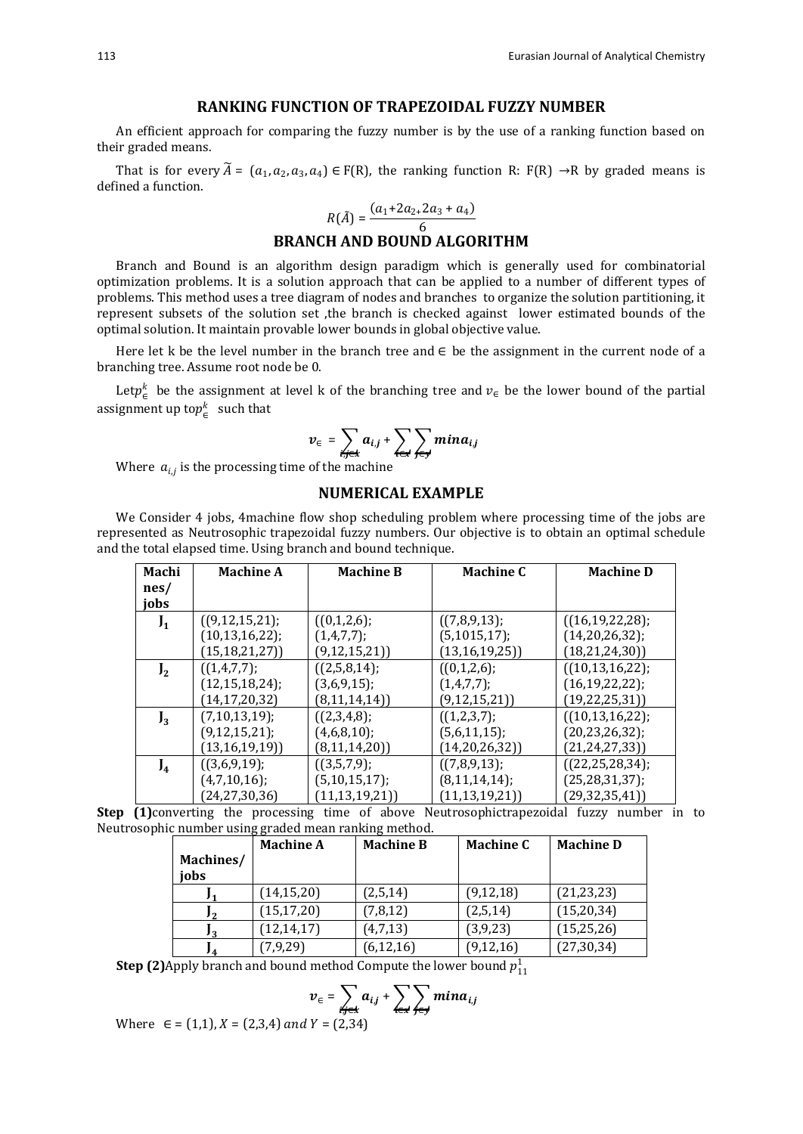#### **RANKING FUNCTION OF TRAPEZOIDAL FUZZY NUMBER**

An efficient approach for comparing the fuzzy number is by the use of a ranking function based on their graded means.

That is for every  $\widetilde{A} = (a_1, a_2, a_3, a_4) \in F(R)$ , the ranking function R:  $F(R) \rightarrow R$  by graded means is defined a function.

$$
R(\tilde{A}) = \frac{(a_1 + 2a_2 + 2a_3 + a_4)}{6}
$$

# 6 **BRANCH AND BOUND ALGORITHM**

Branch and Bound is an algorithm design paradigm which is generally used for combinatorial optimization problems. It is a solution approach that can be applied to a number of different types of problems. This method uses a tree diagram of nodes and branches to organize the solution partitioning, it represent subsets of the solution set ,the branch is checked against lower estimated bounds of the optimal solution. It maintain provable lower bounds in global objective value.

Here let k be the level number in the branch tree and  $\in$  be the assignment in the current node of a branching tree. Assume root node be 0.

Let  $p_{\epsilon}^{k}$  be the assignment at level k of the branching tree and  $v_{\epsilon}$  be the lower bound of the partial assignment up to $p^k_\infty$  such that

$$
v_{\in} = \sum_{i,j \in k} a_{i,j} + \sum_{i \in k} \sum_{j \in j} min a_{i,j}
$$

Where  $a_{i,j}$  is the processing time of the machine

# **NUMERICAL EXAMPLE**

We Consider 4 jobs, 4machine flow shop scheduling problem where processing time of the jobs are represented as Neutrosophic trapezoidal fuzzy numbers. Our objective is to obtain an optimal schedule and the total elapsed time. Using branch and bound technique.

| Machi          | <b>Machine A</b>    | <b>Machine B</b> | <b>Machine C</b>    | <b>Machine D</b>       |
|----------------|---------------------|------------------|---------------------|------------------------|
| nes/           |                     |                  |                     |                        |
| jobs           |                     |                  |                     |                        |
| $J_1$          | ((9, 12, 15, 21);   | ((0,1,2,6);      | ((7,8,9,13);        | $((16, 19, 22, 28))$ ; |
|                | (10, 13, 16, 22);   | (1,4,7,7);       | (5, 1015, 17);      | (14,20,26,32);         |
|                | (15, 18, 21, 27)    | (9, 12, 15, 21)  | (13, 16, 19, 25)    | (18, 21, 24, 30))      |
| J <sub>2</sub> | ((1,4,7,7);         | $((2,5,8,14))$ ; | ((0,1,2,6);         | $((10, 13, 16, 22))$ ; |
|                | (12, 15, 18, 24);   | (3,6,9,15);      | (1,4,7,7);          | (16, 19, 22, 22);      |
|                | (14, 17, 20, 32)    | (8, 11, 14, 14)  | (9, 12, 15, 21)     | (19, 22, 25, 31)       |
| $J_3$          | $(7, 10, 13, 19)$ ; | ((2,3,4,8);      | $((1,2,3,7))$ ;     | ((10, 13, 16, 22))     |
|                | (9, 12, 15, 21);    | (4,6,8,10);      | (5,6,11,15);        | (20, 23, 26, 32);      |
|                | (13, 16, 19, 19)    | (8, 11, 14, 20)  | (14,20,26,32))      | (21, 24, 27, 33))      |
| $J_4$          | ((3,6,9,19);        | ((3,5,7,9);      | ((7,8,9,13);        | ((22, 25, 28, 34))     |
|                | (4,7,10,16);        | (5,10,15,17);    | $(8, 11, 14, 14)$ ; | (25, 28, 31, 37);      |
|                | (24, 27, 30, 36)    | (11, 13, 19, 21) | (11, 13, 19, 21)    | (29, 32, 35, 41)       |

**Step (1)**converting the processing time of above Neutrosophictrapezoidal fuzzy number in to Neutrosophic number using graded mean ranking method.

|           | <b>Machine A</b> | <b>Machine B</b> | <b>Machine C</b> | <b>Machine D</b> |
|-----------|------------------|------------------|------------------|------------------|
| Machines/ |                  |                  |                  |                  |
| jobs      |                  |                  |                  |                  |
|           | (14, 15, 20)     | (2,5,14)         | (9, 12, 18)      | (21, 23, 23)     |
|           | (15, 17, 20)     | (7, 8, 12)       | (2,5,14)         | (15,20,34)       |
|           | (12, 14, 17)     | (4,7,13)         | (3, 9, 23)       | (15, 25, 26)     |
|           | (7,9,29)         | (6, 12, 16)      | (9, 12, 16)      | (27, 30, 34)     |

**Step (2)** Apply branch and bound method Compute the lower bound  $p_{11}^1$ 

$$
v_{\in} = \sum_{i,j \in \mathcal{K}} a_{i,j} + \sum_{i \in \mathcal{K}} \sum_{j \in \mathcal{J}} min a_{i,j}
$$
  
 
$$
V = (2, 3, 4)
$$

Where  $\in$  =  $(1,1)$ ,  $X$  =  $(2,3,4)$  and  $Y$  =  $(2,34)$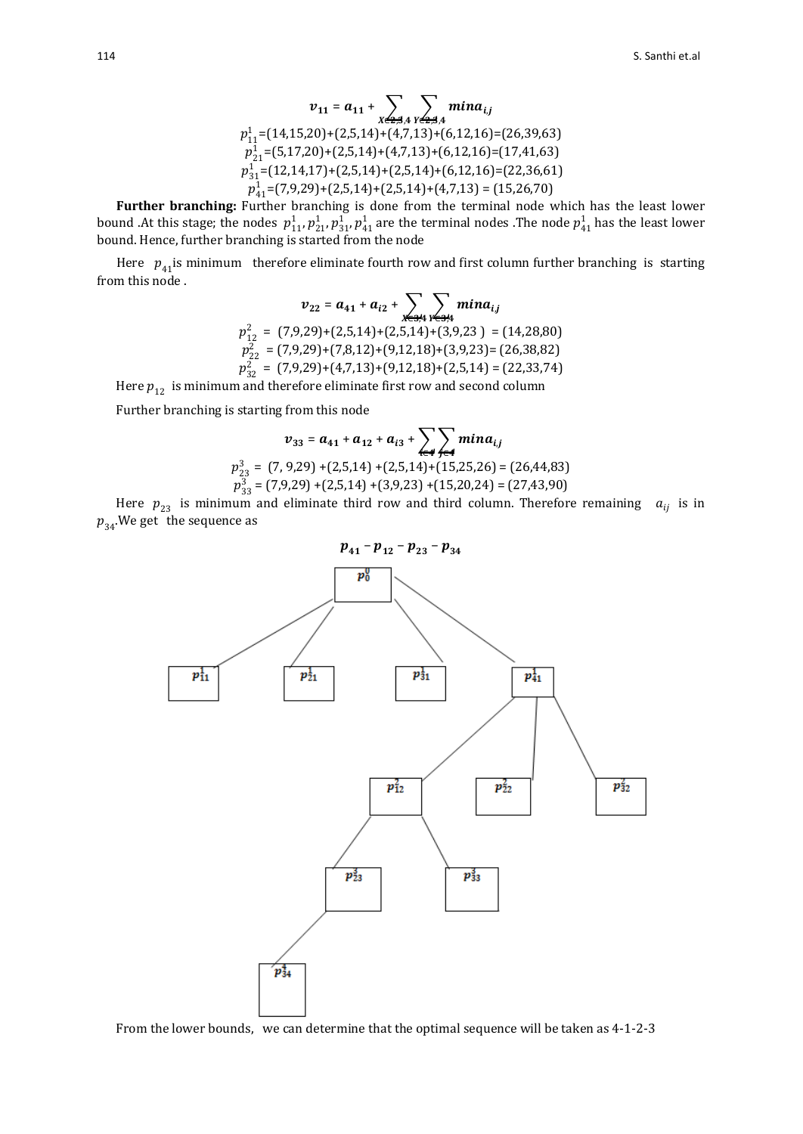$$
v_{11} = a_{11} + \sum_{X \in \mathbf{3}, 4} \sum_{Y \in \mathbf{4}, 3, 4} min a_{i,j}
$$
  
\n
$$
p_{11}^1 = (14, 15, 20) + (2, 5, 14) + (4, 7, 13) + (6, 12, 16) = (26, 39, 63)
$$
  
\n
$$
p_{21}^1 = (5, 17, 20) + (2, 5, 14) + (4, 7, 13) + (6, 12, 16) = (17, 41, 63)
$$
  
\n
$$
p_{31}^1 = (12, 14, 17) + (2, 5, 14) + (2, 5, 14) + (6, 12, 16) = (22, 36, 61)
$$
  
\n
$$
p_{41}^1 = (7, 9, 29) + (2, 5, 14) + (2, 5, 14) + (4, 7, 13) = (15, 26, 70)
$$

**Further branching:** Further branching is done from the terminal node which has the least lower bound .At this stage; the nodes  $p_{11}^1, p_{21}^1, p_{31}^1, p_{41}^1$  are the terminal nodes .The node  $p_{41}^1$  has the least lower bound. Hence, further branching is started from the node

Here  $p_{41}$ is minimum therefore eliminate fourth row and first column further branching is starting from this node .

$$
v_{22} = a_{41} + a_{i2} + \sum_{x \in 34} \sum_{y \in 34} min a_{i,j}
$$
  
\n
$$
p_{12}^2 = (7,9,29) + (2,5,14) + (2,5,14) + (3,9,23) = (14,28,80)
$$
  
\n
$$
p_{22}^2 = (7,9,29) + (7,8,12) + (9,12,18) + (3,9,23) = (26,38,82)
$$
  
\n
$$
p_{32}^2 = (7,9,29) + (4,7,13) + (9,12,18) + (2,5,14) = (22,33,74)
$$

Here  $\boldsymbol{p}_{12}^{}$  is minimum and therefore eliminate first row and second column

Further branching is starting from this node

$$
v_{33} = a_{41} + a_{12} + a_{i3} + \sum_{\epsilon \neq 4} \sum_{j \in \mathcal{A}} min a_{i,j}
$$
  

$$
p_{23}^3 = (7, 9, 29) + (2, 5, 14) + (2, 5, 14) + (15, 25, 26) = (26, 44, 83)
$$
  

$$
p_{33}^3 = (7, 9, 29) + (2, 5, 14) + (3, 9, 23) + (15, 20, 24) = (27, 43, 90)
$$

Here  $p_{23}$  is minimum and eliminate third row and third column. Therefore remaining  $a_{ij}$  is in  $p_{34}$ . We get the sequence as



From the lower bounds, we can determine that the optimal sequence will be taken as 4-1-2-3